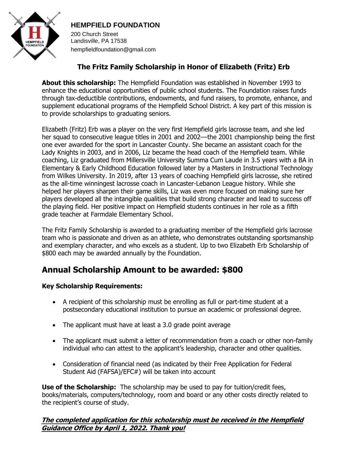

## **HEMPFIELD FOUNDATION**

200 Church Street Landisville, PA 17538 hempfieldfoundation@gmail.com

# **The Fritz Family Scholarship in Honor of Elizabeth (Fritz) Erb**

**About this scholarship:** The Hempfield Foundation was established in November 1993 to enhance the educational opportunities of public school students. The Foundation raises funds through tax-deductible contributions, endowments, and fund raisers, to promote, enhance, and supplement educational programs of the Hempfield School District. A key part of this mission is to provide scholarships to graduating seniors.

Elizabeth (Fritz) Erb was a player on the very first Hempfield girls lacrosse team, and she led her squad to consecutive league titles in 2001 and 2002—the 2001 championship being the first one ever awarded for the sport in Lancaster County. She became an assistant coach for the Lady Knights in 2003, and in 2006, Liz became the head coach of the Hempfield team. While coaching, Liz graduated from Millersville University Summa Cum Laude in 3.5 years with a BA in Elementary & Early Childhood Education followed later by a Masters in Instructional Technology from Wilkes University. In 2019, after 13 years of coaching Hempfield girls lacrosse, she retired as the all-time winningest lacrosse coach in Lancaster-Lebanon League history. While she helped her players sharpen their game skills, Liz was even more focused on making sure her players developed all the intangible qualities that build strong character and lead to success off the playing field. Her positive impact on Hempfield students continues in her role as a fifth grade teacher at Farmdale Elementary School.

The Fritz Family Scholarship is awarded to a graduating member of the Hempfield girls lacrosse team who is passionate and driven as an athlete, who demonstrates outstanding sportsmanship and exemplary character, and who excels as a student. Up to two Elizabeth Erb Scholarship of \$800 each may be awarded annually by the Foundation.

# **Annual Scholarship Amount to be awarded: \$800**

#### **Key Scholarship Requirements:**

- A recipient of this scholarship must be enrolling as full or part-time student at a postsecondary educational institution to pursue an academic or professional degree.
- The applicant must have at least a 3.0 grade point average
- The applicant must submit a letter of recommendation from a coach or other non-family individual who can attest to the applicant's leadership, character and other qualities.
- Consideration of financial need (as indicated by their Free Application for Federal Student Aid (FAFSA)/EFC#) will be taken into account

**Use of the Scholarship:** The scholarship may be used to pay for tuition/credit fees, books/materials, computers/technology, room and board or any other costs directly related to the recipient's course of study.

#### **The completed application for this scholarship must be received in the Hempfield Guidance Office by April 1, 2022. Thank you!**